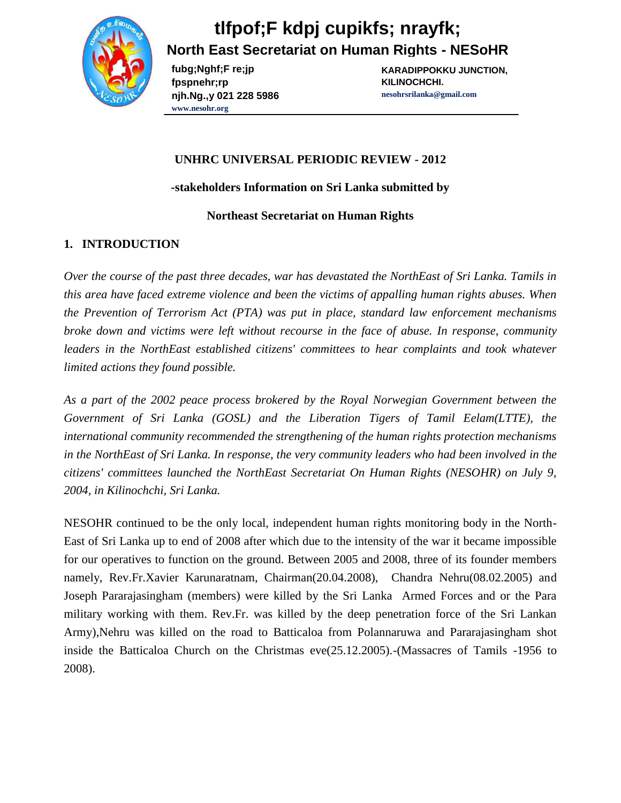

**fubg;Nghf;F re;jp fpspnehr;rp njh.Ng.,y 021 228 5986 www.nesohr.org**

**KARADIPPOKKU JUNCTION, KILINOCHCHI. nesohrsrilanka@gmail.com**

#### **UNHRC UNIVERSAL PERIODIC REVIEW - 2012**

**-stakeholders Information on Sri Lanka submitted by** 

#### **Northeast Secretariat on Human Rights**

#### **1. INTRODUCTION**

*Over the course of the past three decades, war has devastated the NorthEast of Sri Lanka. Tamils in this area have faced extreme violence and been the victims of appalling human rights abuses. When the Prevention of Terrorism Act (PTA) was put in place, standard law enforcement mechanisms broke down and victims were left without recourse in the face of abuse. In response, community leaders in the NorthEast established citizens' committees to hear complaints and took whatever limited actions they found possible.*

*As a part of the 2002 peace process brokered by the Royal Norwegian Government between the Government of Sri Lanka (GOSL) and the Liberation Tigers of Tamil Eelam(LTTE), the international community recommended the strengthening of the human rights protection mechanisms in the NorthEast of Sri Lanka. In response, the very community leaders who had been involved in the citizens' committees launched the NorthEast Secretariat On Human Rights (NESOHR) on July 9, 2004, in Kilinochchi, Sri Lanka.*

NESOHR continued to be the only local, independent human rights monitoring body in the North-East of Sri Lanka up to end of 2008 after which due to the intensity of the war it became impossible for our operatives to function on the ground. Between 2005 and 2008, three of its founder members namely, Rev.Fr.Xavier Karunaratnam, Chairman(20.04.2008), Chandra Nehru(08.02.2005) and Joseph Pararajasingham (members) were killed by the Sri Lanka Armed Forces and or the Para military working with them. Rev.Fr. was killed by the deep penetration force of the Sri Lankan Army),Nehru was killed on the road to Batticaloa from Polannaruwa and Pararajasingham shot inside the Batticaloa Church on the Christmas eve(25.12.2005).-(Massacres of Tamils -1956 to 2008).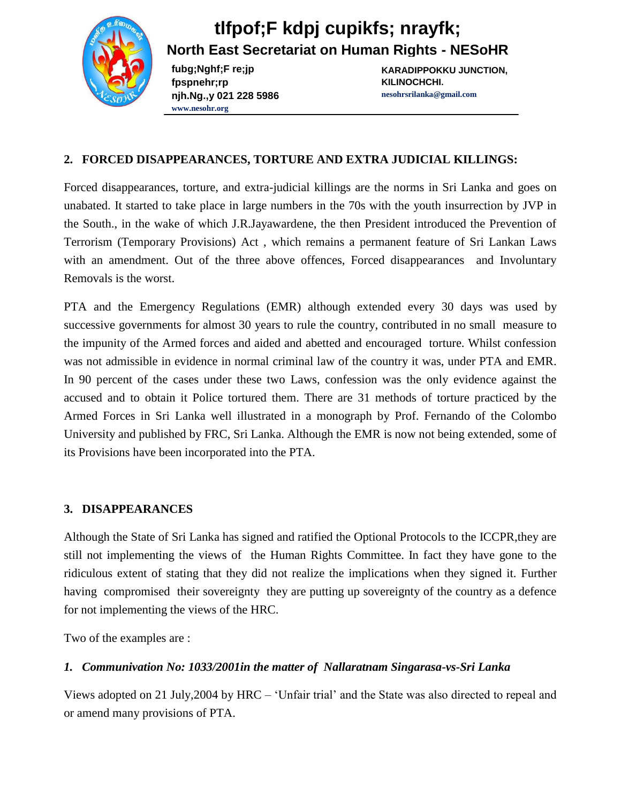# **tlfpof;F kdpj cupikfs; nrayfk;**

**North East Secretariat on Human Rights - NESoHR**

**fubg;Nghf;F re;jp fpspnehr;rp njh.Ng.,y 021 228 5986 www.nesohr.org**

**KARADIPPOKKU JUNCTION, KILINOCHCHI. nesohrsrilanka@gmail.com**

### **2. FORCED DISAPPEARANCES, TORTURE AND EXTRA JUDICIAL KILLINGS:**

Forced disappearances, torture, and extra-judicial killings are the norms in Sri Lanka and goes on unabated. It started to take place in large numbers in the 70s with the youth insurrection by JVP in the South., in the wake of which J.R.Jayawardene, the then President introduced the Prevention of Terrorism (Temporary Provisions) Act , which remains a permanent feature of Sri Lankan Laws with an amendment. Out of the three above offences, Forced disappearances and Involuntary Removals is the worst.

PTA and the Emergency Regulations (EMR) although extended every 30 days was used by successive governments for almost 30 years to rule the country, contributed in no small measure to the impunity of the Armed forces and aided and abetted and encouraged torture. Whilst confession was not admissible in evidence in normal criminal law of the country it was, under PTA and EMR. In 90 percent of the cases under these two Laws, confession was the only evidence against the accused and to obtain it Police tortured them. There are 31 methods of torture practiced by the Armed Forces in Sri Lanka well illustrated in a monograph by Prof. Fernando of the Colombo University and published by FRC, Sri Lanka. Although the EMR is now not being extended, some of its Provisions have been incorporated into the PTA.

### **3. DISAPPEARANCES**

Although the State of Sri Lanka has signed and ratified the Optional Protocols to the ICCPR,they are still not implementing the views of the Human Rights Committee. In fact they have gone to the ridiculous extent of stating that they did not realize the implications when they signed it. Further having compromised their sovereignty they are putting up sovereignty of the country as a defence for not implementing the views of the HRC.

Two of the examples are :

## *1. Communivation No: 1033/2001in the matter of Nallaratnam Singarasa-vs-Sri Lanka*

Views adopted on 21 July,2004 by HRC – 'Unfair trial' and the State was also directed to repeal and or amend many provisions of PTA.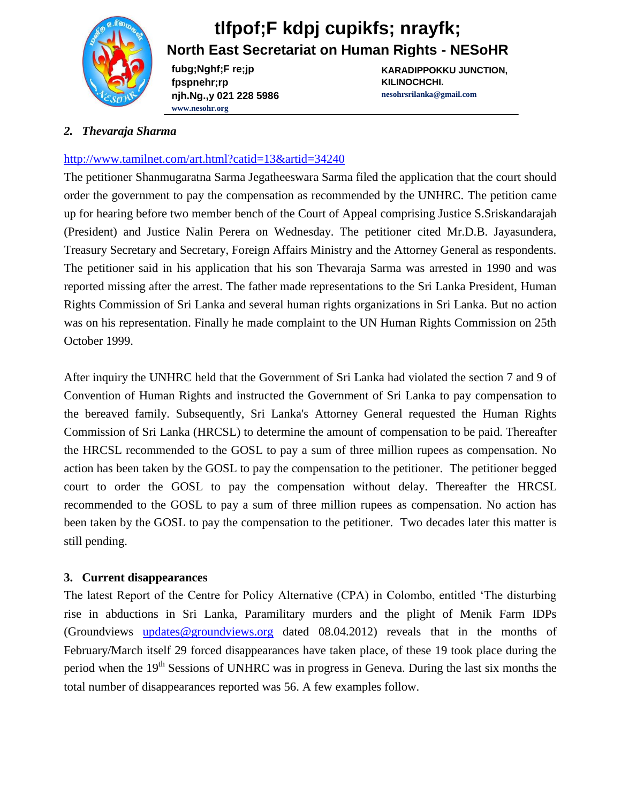

**fubg;Nghf;F re;jp fpspnehr;rp njh.Ng.,y 021 228 5986 www.nesohr.org**

**KARADIPPOKKU JUNCTION, KILINOCHCHI. nesohrsrilanka@gmail.com**

#### *2. Thevaraja Sharma*

#### <http://www.tamilnet.com/art.html?catid=13&artid=34240>

The petitioner Shanmugaratna Sarma Jegatheeswara Sarma filed the application that the court should order the government to pay the compensation as recommended by the UNHRC. The petition came up for hearing before two member bench of the Court of Appeal comprising Justice S.Sriskandarajah (President) and Justice Nalin Perera on Wednesday. The petitioner cited Mr.D.B. Jayasundera, Treasury Secretary and Secretary, Foreign Affairs Ministry and the Attorney General as respondents. The petitioner said in his application that his son Thevaraja Sarma was arrested in 1990 and was reported missing after the arrest. The father made representations to the Sri Lanka President, Human Rights Commission of Sri Lanka and several human rights organizations in Sri Lanka. But no action was on his representation. Finally he made complaint to the UN Human Rights Commission on 25th October 1999.

After inquiry the UNHRC held that the Government of Sri Lanka had violated the section 7 and 9 of Convention of Human Rights and instructed the Government of Sri Lanka to pay compensation to the bereaved family. Subsequently, Sri Lanka's Attorney General requested the Human Rights Commission of Sri Lanka (HRCSL) to determine the amount of compensation to be paid. Thereafter the HRCSL recommended to the GOSL to pay a sum of three million rupees as compensation. No action has been taken by the GOSL to pay the compensation to the petitioner. The petitioner begged court to order the GOSL to pay the compensation without delay. Thereafter the HRCSL recommended to the GOSL to pay a sum of three million rupees as compensation. No action has been taken by the GOSL to pay the compensation to the petitioner. Two decades later this matter is still pending.

#### **3. Current disappearances**

The latest Report of the Centre for Policy Alternative (CPA) in Colombo, entitled 'The disturbing rise in abductions in Sri Lanka, Paramilitary murders and the plight of Menik Farm IDPs (Groundviews [updates@groundviews.org](mailto:updates@groundviews.org) dated 08.04.2012) reveals that in the months of February/March itself 29 forced disappearances have taken place, of these 19 took place during the period when the 19<sup>th</sup> Sessions of UNHRC was in progress in Geneva. During the last six months the total number of disappearances reported was 56. A few examples follow.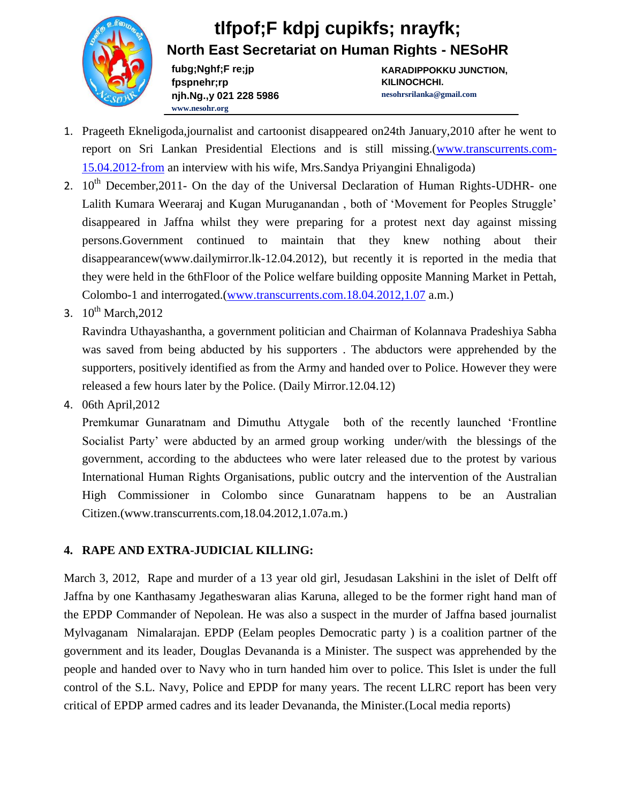**fubg;Nghf;F re;jp fpspnehr;rp njh.Ng.,y 021 228 5986 www.nesohr.org**

**KARADIPPOKKU JUNCTION, KILINOCHCHI. nesohrsrilanka@gmail.com**

- 1. Prageeth Ekneligoda,journalist and cartoonist disappeared on24th January,2010 after he went to report on Sri Lankan Presidential Elections and is still missing.[\(www.transcurrents.com-](http://www.transcurrents.com-15.04.2012-from/)[15.04.2012-from](http://www.transcurrents.com-15.04.2012-from/) an interview with his wife, Mrs.Sandya Priyangini Ehnaligoda)
- 2.  $10<sup>th</sup>$  December, 2011- On the day of the Universal Declaration of Human Rights-UDHR- one Lalith Kumara Weeraraj and Kugan Muruganandan , both of 'Movement for Peoples Struggle' disappeared in Jaffna whilst they were preparing for a protest next day against missing persons.Government continued to maintain that they knew nothing about their disappearancew(www.dailymirror.lk-12.04.2012), but recently it is reported in the media that they were held in the 6thFloor of the Police welfare building opposite Manning Market in Pettah, Colombo-1 and interrogated.[\(www.transcurrents.com.18.04.2012,1.07](http://www.transcurrents.com.18.04.2012,1.07/) a.m.)
- 3.  $10^{th}$  March, 2012

Ravindra Uthayashantha, a government politician and Chairman of Kolannava Pradeshiya Sabha was saved from being abducted by his supporters . The abductors were apprehended by the supporters, positively identified as from the Army and handed over to Police. However they were released a few hours later by the Police. (Daily Mirror.12.04.12)

4. 06th April,2012

Premkumar Gunaratnam and Dimuthu Attygale both of the recently launched 'Frontline Socialist Party' were abducted by an armed group working under/with the blessings of the government, according to the abductees who were later released due to the protest by various International Human Rights Organisations, public outcry and the intervention of the Australian High Commissioner in Colombo since Gunaratnam happens to be an Australian Citizen.(www.transcurrents.com,18.04.2012,1.07a.m.)

### **4. RAPE AND EXTRA-JUDICIAL KILLING:**

March 3, 2012, Rape and murder of a 13 year old girl, Jesudasan Lakshini in the islet of Delft off Jaffna by one Kanthasamy Jegatheswaran alias Karuna, alleged to be the former right hand man of the EPDP Commander of Nepolean. He was also a suspect in the murder of Jaffna based journalist Mylvaganam Nimalarajan. EPDP (Eelam peoples Democratic party ) is a coalition partner of the government and its leader, Douglas Devananda is a Minister. The suspect was apprehended by the people and handed over to Navy who in turn handed him over to police. This Islet is under the full control of the S.L. Navy, Police and EPDP for many years. The recent LLRC report has been very critical of EPDP armed cadres and its leader Devananda, the Minister.(Local media reports)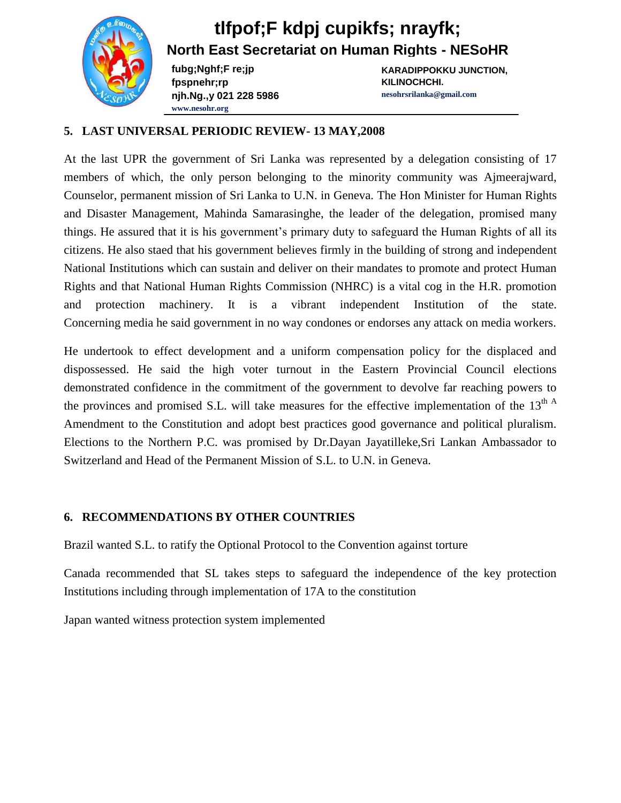

**fubg;Nghf;F re;jp fpspnehr;rp njh.Ng.,y 021 228 5986 www.nesohr.org**

**KARADIPPOKKU JUNCTION, KILINOCHCHI. nesohrsrilanka@gmail.com**

#### **5. LAST UNIVERSAL PERIODIC REVIEW- 13 MAY,2008**

At the last UPR the government of Sri Lanka was represented by a delegation consisting of 17 members of which, the only person belonging to the minority community was Ajmeerajward, Counselor, permanent mission of Sri Lanka to U.N. in Geneva. The Hon Minister for Human Rights and Disaster Management, Mahinda Samarasinghe, the leader of the delegation, promised many things. He assured that it is his government's primary duty to safeguard the Human Rights of all its citizens. He also staed that his government believes firmly in the building of strong and independent National Institutions which can sustain and deliver on their mandates to promote and protect Human Rights and that National Human Rights Commission (NHRC) is a vital cog in the H.R. promotion and protection machinery. It is a vibrant independent Institution of the state. Concerning media he said government in no way condones or endorses any attack on media workers.

He undertook to effect development and a uniform compensation policy for the displaced and dispossessed. He said the high voter turnout in the Eastern Provincial Council elections demonstrated confidence in the commitment of the government to devolve far reaching powers to the provinces and promised S.L. will take measures for the effective implementation of the 13<sup>th A</sup> Amendment to the Constitution and adopt best practices good governance and political pluralism. Elections to the Northern P.C. was promised by Dr.Dayan Jayatilleke,Sri Lankan Ambassador to Switzerland and Head of the Permanent Mission of S.L. to U.N. in Geneva.

### **6. RECOMMENDATIONS BY OTHER COUNTRIES**

Brazil wanted S.L. to ratify the Optional Protocol to the Convention against torture

Canada recommended that SL takes steps to safeguard the independence of the key protection Institutions including through implementation of 17A to the constitution

Japan wanted witness protection system implemented